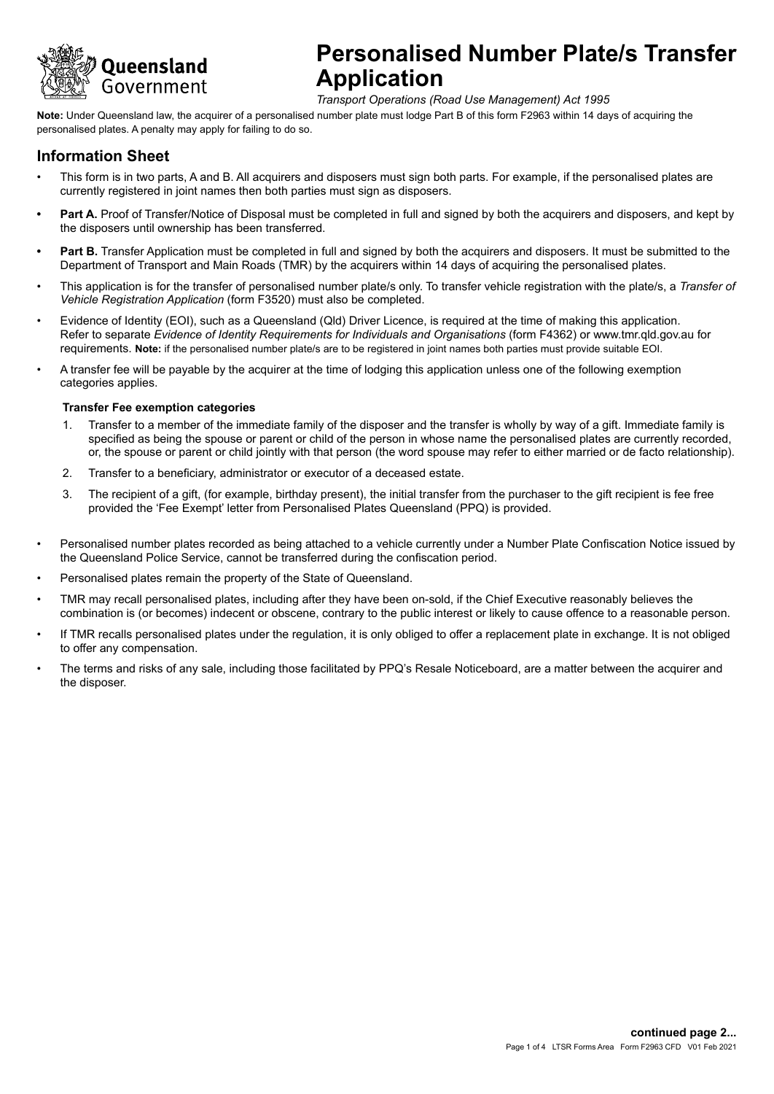

*Transport Operations (Road Use Management) Act 1995*

**Note:** Under Queensland law, the acquirer of a personalised number plate must lodge Part B of this form F2963 within 14 days of acquiring the personalised plates. A penalty may apply for failing to do so.

### **Information Sheet**

- This form is in two parts, A and B. All acquirers and disposers must sign both parts. For example, if the personalised plates are currently registered in joint names then both parties must sign as disposers.
- Part A. Proof of Transfer/Notice of Disposal must be completed in full and signed by both the acquirers and disposers, and kept by the disposers until ownership has been transferred.
- **• Part B.** Transfer Application must be completed in full and signed by both the acquirers and disposers. It must be submitted to the Department of Transport and Main Roads (TMR) by the acquirers within 14 days of acquiring the personalised plates.
- This application is for the transfer of personalised number plate/s only. To transfer vehicle registration with the plate/s, a *Transfer of Vehicle Registration Application* (form F3520) must also be completed.
- Evidence of Identity (EOI), such as a Queensland (Qld) Driver Licence, is required at the time of making this application. Refer to separate *Evidence of Identity Requirements for Individuals and Organisations* (form F4362) or www.tmr.qld.gov.au for requirements. **Note:** if the personalised number plate/s are to be registered in joint names both parties must provide suitable EOI.
- A transfer fee will be payable by the acquirer at the time of lodging this application unless one of the following exemption categories applies.

#### **Transfer Fee exemption categories**

- 1. Transfer to a member of the immediate family of the disposer and the transfer is wholly by way of a gift. Immediate family is specified as being the spouse or parent or child of the person in whose name the personalised plates are currently recorded, or, the spouse or parent or child jointly with that person (the word spouse may refer to either married or de facto relationship).
- 2. Transfer to a beneficiary, administrator or executor of a deceased estate.
- 3. The recipient of a gift, (for example, birthday present), the initial transfer from the purchaser to the gift recipient is fee free provided the 'Fee Exempt' letter from Personalised Plates Queensland (PPQ) is provided.
- Personalised number plates recorded as being attached to a vehicle currently under a Number Plate Confiscation Notice issued by the Queensland Police Service, cannot be transferred during the confiscation period.
- Personalised plates remain the property of the State of Queensland.
- TMR may recall personalised plates, including after they have been on-sold, if the Chief Executive reasonably believes the combination is (or becomes) indecent or obscene, contrary to the public interest or likely to cause offence to a reasonable person.
- If TMR recalls personalised plates under the regulation, it is only obliged to offer a replacement plate in exchange. It is not obliged to offer any compensation.
- The terms and risks of any sale, including those facilitated by PPQ's Resale Noticeboard, are a matter between the acquirer and the disposer.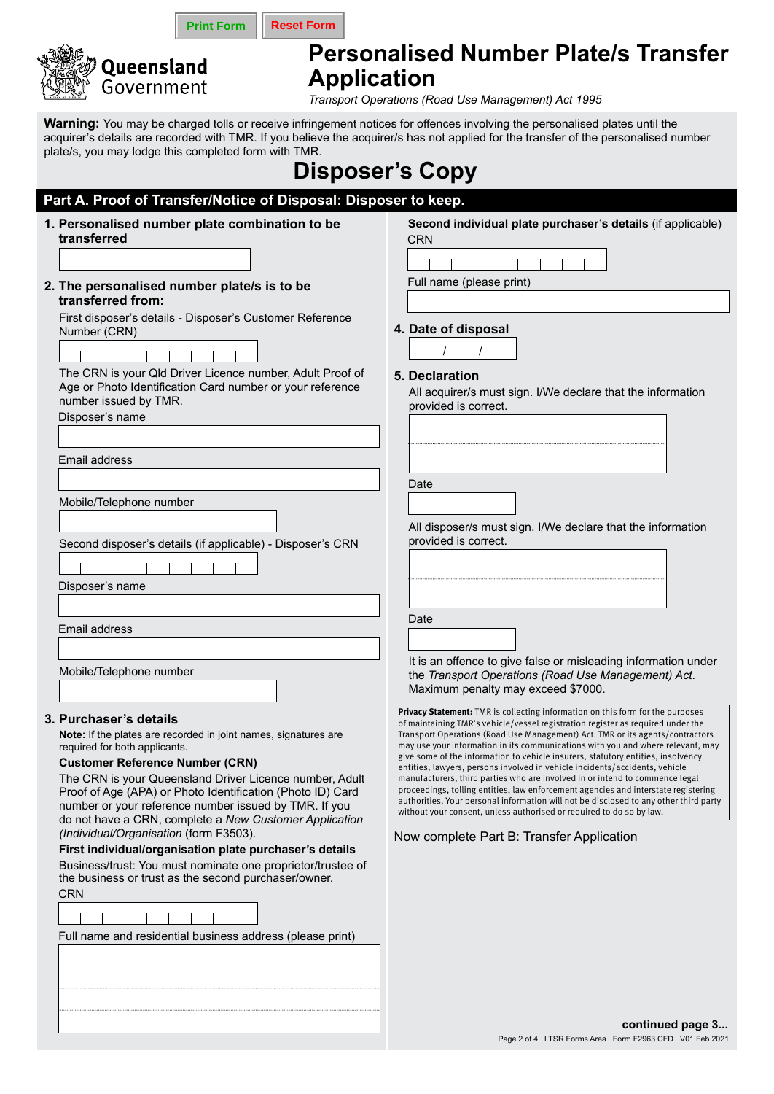

**Print Form Reset Form** 

# **Personalised Number Plate/s Transfer Application**

*Transport Operations (Road Use Management) Act 1995*

**Warning:** You may be charged tolls or receive infringement notices for offences involving the personalised plates until the acquirer's details are recorded with TMR. If you believe the acquirer/s has not applied for the transfer of the personalised number plate/s, you may lodge this completed form with TMR.

# **Disposer's Copy**

| Part A. Proof of Transfer/Notice of Disposal: Disposer to keep. |                                                                                                                                                                                                                                                                                                                                                        |                                                                                                                                                                                                                                                                                                                                                                                                                                                                                                                                                                                                                                                                                                                                                                                                                                                 |  |  |
|-----------------------------------------------------------------|--------------------------------------------------------------------------------------------------------------------------------------------------------------------------------------------------------------------------------------------------------------------------------------------------------------------------------------------------------|-------------------------------------------------------------------------------------------------------------------------------------------------------------------------------------------------------------------------------------------------------------------------------------------------------------------------------------------------------------------------------------------------------------------------------------------------------------------------------------------------------------------------------------------------------------------------------------------------------------------------------------------------------------------------------------------------------------------------------------------------------------------------------------------------------------------------------------------------|--|--|
|                                                                 | 1. Personalised number plate combination to be<br>transferred                                                                                                                                                                                                                                                                                          | Second individual plate purchaser's details (if applicable)<br><b>CRN</b>                                                                                                                                                                                                                                                                                                                                                                                                                                                                                                                                                                                                                                                                                                                                                                       |  |  |
|                                                                 | 2. The personalised number plate/s is to be                                                                                                                                                                                                                                                                                                            | Full name (please print)                                                                                                                                                                                                                                                                                                                                                                                                                                                                                                                                                                                                                                                                                                                                                                                                                        |  |  |
|                                                                 | transferred from:<br>First disposer's details - Disposer's Customer Reference<br>Number (CRN)                                                                                                                                                                                                                                                          | 4. Date of disposal                                                                                                                                                                                                                                                                                                                                                                                                                                                                                                                                                                                                                                                                                                                                                                                                                             |  |  |
|                                                                 |                                                                                                                                                                                                                                                                                                                                                        |                                                                                                                                                                                                                                                                                                                                                                                                                                                                                                                                                                                                                                                                                                                                                                                                                                                 |  |  |
|                                                                 | The CRN is your Qld Driver Licence number, Adult Proof of<br>Age or Photo Identification Card number or your reference<br>number issued by TMR.<br>Disposer's name                                                                                                                                                                                     | 5. Declaration<br>All acquirer/s must sign. I/We declare that the information<br>provided is correct.                                                                                                                                                                                                                                                                                                                                                                                                                                                                                                                                                                                                                                                                                                                                           |  |  |
|                                                                 | Email address                                                                                                                                                                                                                                                                                                                                          |                                                                                                                                                                                                                                                                                                                                                                                                                                                                                                                                                                                                                                                                                                                                                                                                                                                 |  |  |
|                                                                 |                                                                                                                                                                                                                                                                                                                                                        | Date                                                                                                                                                                                                                                                                                                                                                                                                                                                                                                                                                                                                                                                                                                                                                                                                                                            |  |  |
|                                                                 | Mobile/Telephone number                                                                                                                                                                                                                                                                                                                                |                                                                                                                                                                                                                                                                                                                                                                                                                                                                                                                                                                                                                                                                                                                                                                                                                                                 |  |  |
|                                                                 | Second disposer's details (if applicable) - Disposer's CRN                                                                                                                                                                                                                                                                                             | All disposer/s must sign. I/We declare that the information<br>provided is correct.                                                                                                                                                                                                                                                                                                                                                                                                                                                                                                                                                                                                                                                                                                                                                             |  |  |
|                                                                 |                                                                                                                                                                                                                                                                                                                                                        |                                                                                                                                                                                                                                                                                                                                                                                                                                                                                                                                                                                                                                                                                                                                                                                                                                                 |  |  |
|                                                                 | Disposer's name                                                                                                                                                                                                                                                                                                                                        |                                                                                                                                                                                                                                                                                                                                                                                                                                                                                                                                                                                                                                                                                                                                                                                                                                                 |  |  |
|                                                                 |                                                                                                                                                                                                                                                                                                                                                        | Date                                                                                                                                                                                                                                                                                                                                                                                                                                                                                                                                                                                                                                                                                                                                                                                                                                            |  |  |
|                                                                 | <b>Email address</b>                                                                                                                                                                                                                                                                                                                                   |                                                                                                                                                                                                                                                                                                                                                                                                                                                                                                                                                                                                                                                                                                                                                                                                                                                 |  |  |
|                                                                 | Mobile/Telephone number                                                                                                                                                                                                                                                                                                                                | It is an offence to give false or misleading information under<br>the Transport Operations (Road Use Management) Act.<br>Maximum penalty may exceed \$7000.                                                                                                                                                                                                                                                                                                                                                                                                                                                                                                                                                                                                                                                                                     |  |  |
|                                                                 | 3. Purchaser's details<br>Note: If the plates are recorded in joint names, signatures are<br>required for both applicants.<br><b>Customer Reference Number (CRN)</b><br>The CRN is your Queensland Driver Licence number, Adult<br>Proof of Age (APA) or Photo Identification (Photo ID) Card<br>number or your reference number issued by TMR. If you | Privacy Statement: TMR is collecting information on this form for the purposes<br>of maintaining TMR's vehicle/vessel registration register as required under the<br>Transport Operations (Road Use Management) Act. TMR or its agents/contractors<br>may use your information in its communications with you and where relevant, may<br>give some of the information to vehicle insurers, statutory entities, insolvency<br>entities, lawyers, persons involved in vehicle incidents/accidents, vehicle<br>manufacturers, third parties who are involved in or intend to commence legal<br>proceedings, tolling entities, law enforcement agencies and interstate registering<br>authorities. Your personal information will not be disclosed to any other third party<br>without your consent, unless authorised or required to do so by law. |  |  |
|                                                                 | do not have a CRN, complete a New Customer Application<br>(Individual/Organisation (form F3503).                                                                                                                                                                                                                                                       | Now complete Part B: Transfer Application                                                                                                                                                                                                                                                                                                                                                                                                                                                                                                                                                                                                                                                                                                                                                                                                       |  |  |
|                                                                 | First individual/organisation plate purchaser's details<br>Business/trust: You must nominate one proprietor/trustee of                                                                                                                                                                                                                                 |                                                                                                                                                                                                                                                                                                                                                                                                                                                                                                                                                                                                                                                                                                                                                                                                                                                 |  |  |
|                                                                 | the business or trust as the second purchaser/owner.<br><b>CRN</b>                                                                                                                                                                                                                                                                                     |                                                                                                                                                                                                                                                                                                                                                                                                                                                                                                                                                                                                                                                                                                                                                                                                                                                 |  |  |
|                                                                 |                                                                                                                                                                                                                                                                                                                                                        |                                                                                                                                                                                                                                                                                                                                                                                                                                                                                                                                                                                                                                                                                                                                                                                                                                                 |  |  |
|                                                                 | Full name and residential business address (please print)                                                                                                                                                                                                                                                                                              |                                                                                                                                                                                                                                                                                                                                                                                                                                                                                                                                                                                                                                                                                                                                                                                                                                                 |  |  |
|                                                                 |                                                                                                                                                                                                                                                                                                                                                        |                                                                                                                                                                                                                                                                                                                                                                                                                                                                                                                                                                                                                                                                                                                                                                                                                                                 |  |  |
|                                                                 |                                                                                                                                                                                                                                                                                                                                                        |                                                                                                                                                                                                                                                                                                                                                                                                                                                                                                                                                                                                                                                                                                                                                                                                                                                 |  |  |
|                                                                 |                                                                                                                                                                                                                                                                                                                                                        |                                                                                                                                                                                                                                                                                                                                                                                                                                                                                                                                                                                                                                                                                                                                                                                                                                                 |  |  |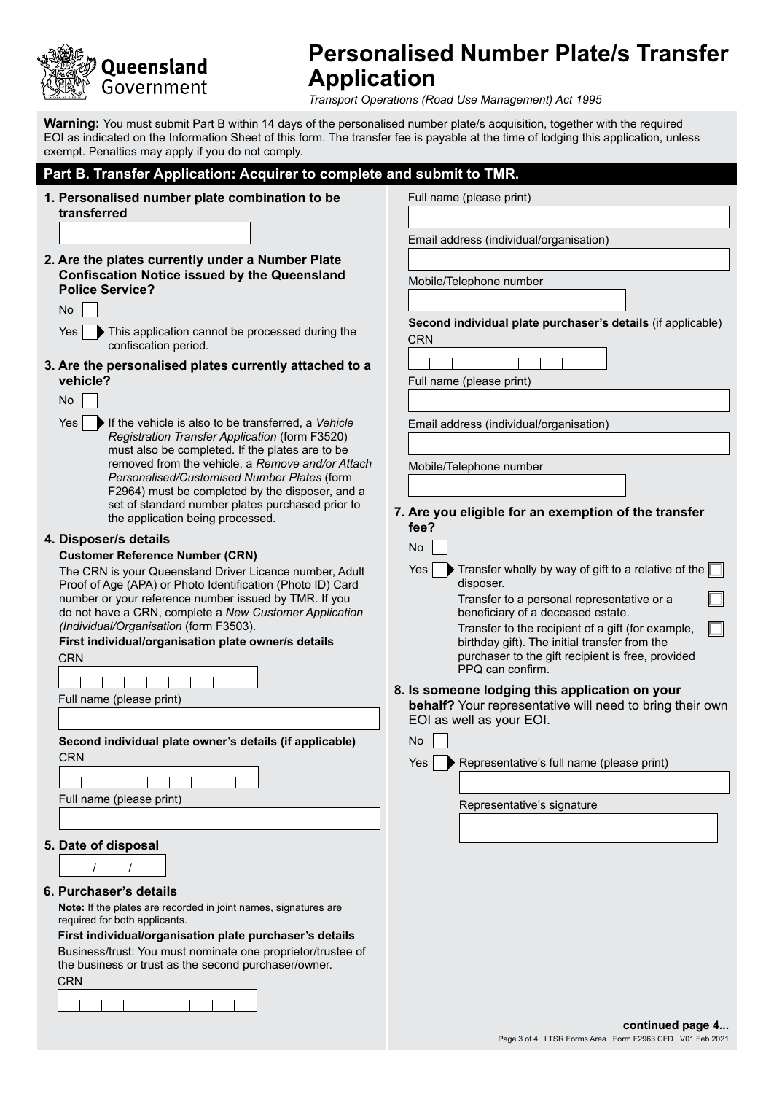

# **Personalised Number Plate/s Transfer Application**

*Transport Operations (Road Use Management) Act 1995*

**Warning:** You must submit Part B within 14 days of the personalised number plate/s acquisition, together with the required EOI as indicated on the Information Sheet of this form. The transfer fee is payable at the time of lodging this application, unless exempt. Penalties may apply if you do not comply.

### **Part B. Transfer Application: Acquirer to complete and submit to TMR.**

| 1. Personalised number plate combination to be                                                                        | Full name (please print)                                                                           |
|-----------------------------------------------------------------------------------------------------------------------|----------------------------------------------------------------------------------------------------|
| transferred                                                                                                           |                                                                                                    |
|                                                                                                                       | Email address (individual/organisation)                                                            |
| 2. Are the plates currently under a Number Plate                                                                      |                                                                                                    |
| <b>Confiscation Notice issued by the Queensland</b><br><b>Police Service?</b>                                         | Mobile/Telephone number                                                                            |
| No                                                                                                                    |                                                                                                    |
| This application cannot be processed during the<br>Yes                                                                | Second individual plate purchaser's details (if applicable)                                        |
| confiscation period.                                                                                                  | <b>CRN</b>                                                                                         |
| 3. Are the personalised plates currently attached to a                                                                |                                                                                                    |
| vehicle?                                                                                                              | Full name (please print)                                                                           |
| No                                                                                                                    |                                                                                                    |
| Yes<br>If the vehicle is also to be transferred, a Vehicle                                                            | Email address (individual/organisation)                                                            |
| Registration Transfer Application (form F3520)                                                                        |                                                                                                    |
| must also be completed. If the plates are to be<br>removed from the vehicle, a Remove and/or Attach                   | Mobile/Telephone number                                                                            |
| Personalised/Customised Number Plates (form                                                                           |                                                                                                    |
| F2964) must be completed by the disposer, and a<br>set of standard number plates purchased prior to                   |                                                                                                    |
| the application being processed.                                                                                      | 7. Are you eligible for an exemption of the transfer<br>fee?                                       |
| 4. Disposer/s details                                                                                                 | No                                                                                                 |
| <b>Customer Reference Number (CRN)</b>                                                                                |                                                                                                    |
| The CRN is your Queensland Driver Licence number, Adult<br>Proof of Age (APA) or Photo Identification (Photo ID) Card | Transfer wholly by way of gift to a relative of the $\Box$<br>Yes<br>disposer.                     |
| number or your reference number issued by TMR. If you                                                                 | Transfer to a personal representative or a                                                         |
| do not have a CRN, complete a New Customer Application                                                                | beneficiary of a deceased estate.                                                                  |
| (Individual/Organisation (form F3503).<br>First individual/organisation plate owner/s details                         | Transfer to the recipient of a gift (for example,<br>birthday gift). The initial transfer from the |
| <b>CRN</b>                                                                                                            | purchaser to the gift recipient is free, provided                                                  |
|                                                                                                                       | PPQ can confirm.                                                                                   |
| Full name (please print)                                                                                              | 8. Is someone lodging this application on your                                                     |
|                                                                                                                       | behalf? Your representative will need to bring their own<br>EOI as well as your EOI.               |
| Second individual plate owner's details (if applicable)                                                               | No                                                                                                 |
| <b>CRN</b>                                                                                                            |                                                                                                    |
|                                                                                                                       | Representative's full name (please print)<br>Yes                                                   |
| Full name (please print)                                                                                              |                                                                                                    |
|                                                                                                                       | Representative's signature                                                                         |
|                                                                                                                       |                                                                                                    |
| 5. Date of disposal                                                                                                   |                                                                                                    |
|                                                                                                                       |                                                                                                    |
| 6. Purchaser's details                                                                                                |                                                                                                    |
| Note: If the plates are recorded in joint names, signatures are<br>required for both applicants.                      |                                                                                                    |
| First individual/organisation plate purchaser's details                                                               |                                                                                                    |
| Business/trust: You must nominate one proprietor/trustee of                                                           |                                                                                                    |
| the business or trust as the second purchaser/owner.<br><b>CRN</b>                                                    |                                                                                                    |
|                                                                                                                       |                                                                                                    |
|                                                                                                                       |                                                                                                    |